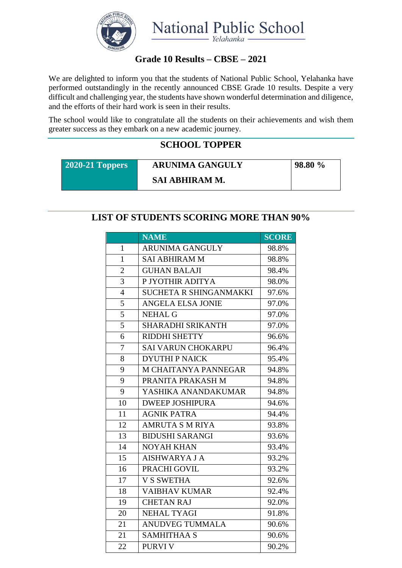

### **Grade 10 Results – CBSE – 2021**

We are delighted to inform you that the students of National Public School, Yelahanka have performed outstandingly in the recently announced CBSE Grade 10 results. Despite a very difficult and challenging year, the students have shown wonderful determination and diligence, and the efforts of their hard work is seen in their results.

The school would like to congratulate all the students on their achievements and wish them greater success as they embark on a new academic journey.

### **SCHOOL TOPPER**

**2020-21 Toppers ARUNIMA GANGULY SAI ABHIRAM M.**

**98.80 %**

#### **LIST OF STUDENTS SCORING MORE THAN 90%**

|                | <b>NAME</b>               | <b>SCORE</b> |
|----------------|---------------------------|--------------|
| $\mathbf{1}$   | <b>ARUNIMA GANGULY</b>    | 98.8%        |
| $\mathbf{1}$   | <b>SAI ABHIRAM M</b>      | 98.8%        |
| $\overline{2}$ | <b>GUHAN BALAJI</b>       | 98.4%        |
| 3              | P JYOTHIR ADITYA          | 98.0%        |
| $\overline{4}$ | SUCHETA R SHINGANMAKKI    | 97.6%        |
| 5              | <b>ANGELA ELSA JONIE</b>  | 97.0%        |
| 5              | <b>NEHAL G</b>            | 97.0%        |
| 5              | <b>SHARADHI SRIKANTH</b>  | 97.0%        |
| 6              | <b>RIDDHI SHETTY</b>      | 96.6%        |
| $\overline{7}$ | <b>SAI VARUN CHOKARPU</b> | 96.4%        |
| 8              | <b>DYUTHIP NAICK</b>      | 95.4%        |
| 9              | M CHAITANYA PANNEGAR      | 94.8%        |
| 9              | PRANITA PRAKASH M         | 94.8%        |
| 9              | YASHIKA ANANDAKUMAR       | 94.8%        |
| 10             | <b>DWEEP JOSHIPURA</b>    | 94.6%        |
| 11             | <b>AGNIK PATRA</b>        | 94.4%        |
| 12             | <b>AMRUTA S M RIYA</b>    | 93.8%        |
| 13             | <b>BIDUSHI SARANGI</b>    | 93.6%        |
| 14             | <b>NOYAH KHAN</b>         | 93.4%        |
| 15             | <b>AISHWARYA J A</b>      | 93.2%        |
| 16             | PRACHI GOVIL              | 93.2%        |
| 17             | <b>V S SWETHA</b>         | 92.6%        |
| 18             | <b>VAIBHAV KUMAR</b>      | 92.4%        |
| 19             | <b>CHETAN RAJ</b>         | 92.0%        |
| 20             | NEHAL TYAGI               | 91.8%        |
| 21             | <b>ANUDVEG TUMMALA</b>    | 90.6%        |
| 21             | <b>SAMHITHAA S</b>        | 90.6%        |
| 22             | <b>PURVIV</b>             | 90.2%        |